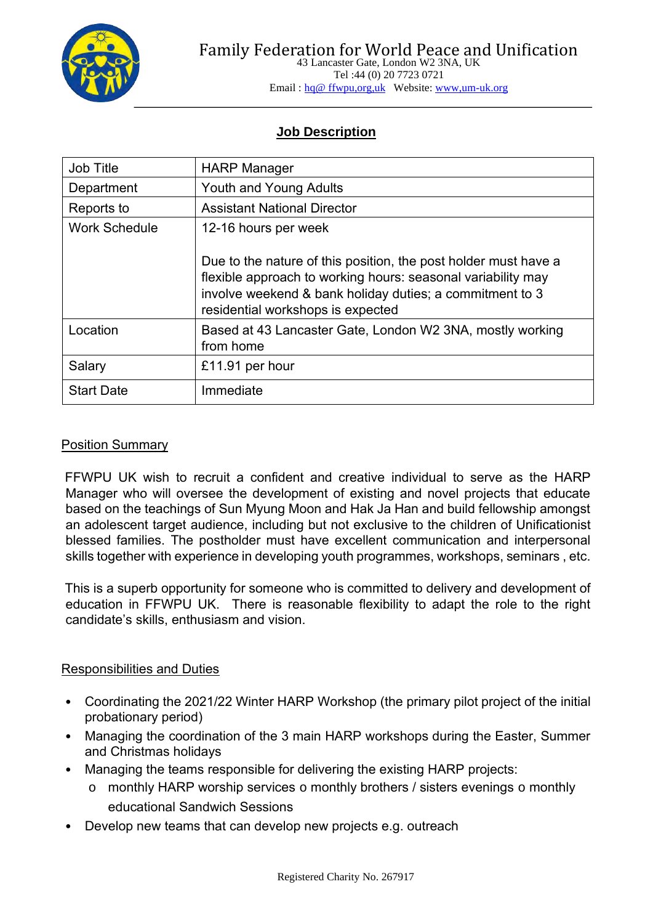

Tel :44 (0) 20 7723 0721 Email : hq@ ffwpu,org,uk Website: www,um-uk.org

# **Job Description**

| Job Title            | <b>HARP Manager</b>                                                                                                                                                                                                              |
|----------------------|----------------------------------------------------------------------------------------------------------------------------------------------------------------------------------------------------------------------------------|
| Department           | <b>Youth and Young Adults</b>                                                                                                                                                                                                    |
| Reports to           | <b>Assistant National Director</b>                                                                                                                                                                                               |
| <b>Work Schedule</b> | 12-16 hours per week                                                                                                                                                                                                             |
|                      | Due to the nature of this position, the post holder must have a<br>flexible approach to working hours: seasonal variability may<br>involve weekend & bank holiday duties; a commitment to 3<br>residential workshops is expected |
| Location             | Based at 43 Lancaster Gate, London W2 3NA, mostly working<br>from home                                                                                                                                                           |
| Salary               | £11.91 per hour                                                                                                                                                                                                                  |
| <b>Start Date</b>    | Immediate                                                                                                                                                                                                                        |

## Position Summary

FFWPU UK wish to recruit a confident and creative individual to serve as the HARP Manager who will oversee the development of existing and novel projects that educate based on the teachings of Sun Myung Moon and Hak Ja Han and build fellowship amongst an adolescent target audience, including but not exclusive to the children of Unificationist blessed families. The postholder must have excellent communication and interpersonal skills together with experience in developing youth programmes, workshops, seminars , etc.

This is a superb opportunity for someone who is committed to delivery and development of education in FFWPU UK. There is reasonable flexibility to adapt the role to the right candidate's skills, enthusiasm and vision.

## Responsibilities and Duties

- Coordinating the 2021/22 Winter HARP Workshop (the primary pilot project of the initial probationary period)
- Managing the coordination of the 3 main HARP workshops during the Easter, Summer and Christmas holidays
- Managing the teams responsible for delivering the existing HARP projects:
	- o monthly HARP worship services o monthly brothers / sisters evenings o monthly educational Sandwich Sessions
- Develop new teams that can develop new projects e.g. outreach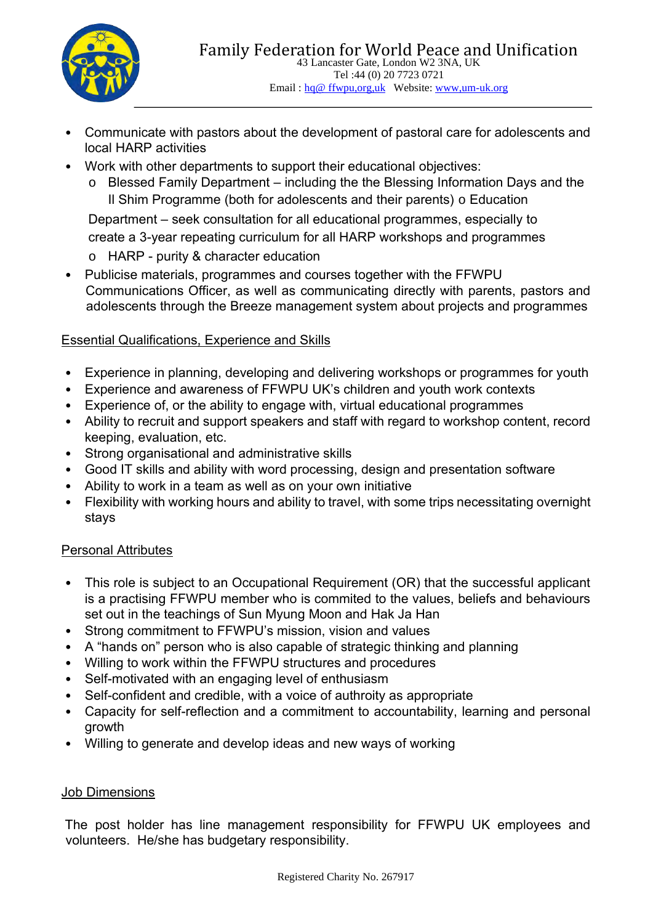

- Communicate with pastors about the development of pastoral care for adolescents and local HARP activities
- Work with other departments to support their educational objectives:
	- o Blessed Family Department including the the Blessing Information Days and the Il Shim Programme (both for adolescents and their parents)  $\circ$  Education

Department – seek consultation for all educational programmes, especially to create a 3-year repeating curriculum for all HARP workshops and programmes

- o HARP purity & character education
- Publicise materials, programmes and courses together with the FFWPU Communications Officer, as well as communicating directly with parents, pastors and adolescents through the Breeze management system about projects and programmes

# Essential Qualifications, Experience and Skills

- Experience in planning, developing and delivering workshops or programmes for youth
- Experience and awareness of FFWPU UK's children and youth work contexts
- Experience of, or the ability to engage with, virtual educational programmes
- Ability to recruit and support speakers and staff with regard to workshop content, record keeping, evaluation, etc.
- Strong organisational and administrative skills
- Good IT skills and ability with word processing, design and presentation software
- Ability to work in a team as well as on your own initiative
- Flexibility with working hours and ability to travel, with some trips necessitating overnight stays

# Personal Attributes

- This role is subject to an Occupational Requirement (OR) that the successful applicant is a practising FFWPU member who is commited to the values, beliefs and behaviours set out in the teachings of Sun Myung Moon and Hak Ja Han
- Strong commitment to FFWPU's mission, vision and values
- A "hands on" person who is also capable of strategic thinking and planning
- Willing to work within the FFWPU structures and procedures
- Self-motivated with an engaging level of enthusiasm
- Self-confident and credible, with a voice of authroity as appropriate
- Capacity for self-reflection and a commitment to accountability, learning and personal growth
- Willing to generate and develop ideas and new ways of working

# Job Dimensions

The post holder has line management responsibility for FFWPU UK employees and volunteers. He/she has budgetary responsibility.